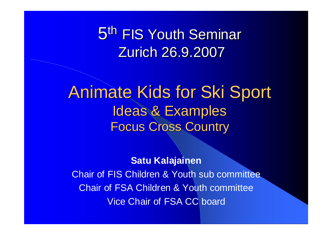5<sup>th</sup> FIS Youth Seminar Zurich 26.9.2007

#### Animate Kids for Ski Sport Ideas & Examples Focus Cross Country

**Satu Kalajainen**

Chair of FIS Children & Youth sub committee Chair of FSA Children & Youth committee Vice Chair of FSA CC board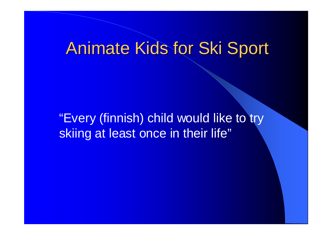## Animate Kids for Ski Sport

"Every (finnish) child would like to try skiing at least once in their life"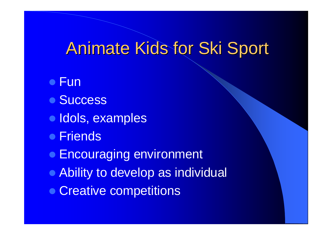# Animate Kids for Ski Sport

- Fun
- Success
- **Idols, examples**
- **Friends**
- **Encouraging environment**
- Ability to develop as individual
- Creative competitions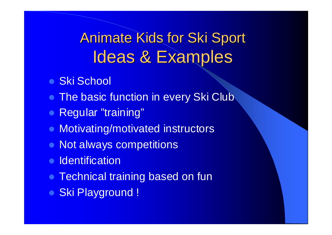## Animate Kids for Ski Sport Ideas & Examples

- **Ski School**
- The basic function in every Ski Club
- Regular "training"
- Motivating/motivated instructors
- Not always competitions
- Identification
- Technical training based on fun
- Ski Playground !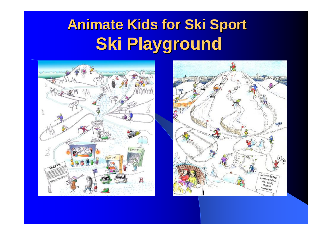# **Animate Kids for Ski Sport Ski Playground**



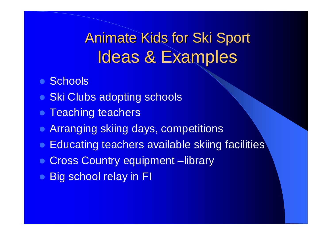### Animate Kids for Ski Sport Ideas & Examples

- **Schools**
- Ski Clubs adopting schools
- **Teaching teachers**
- Arranging skiing days, competitions
- Educating teachers available skiing facilities
- **Cross Country equipment –library**
- Big school relay in FI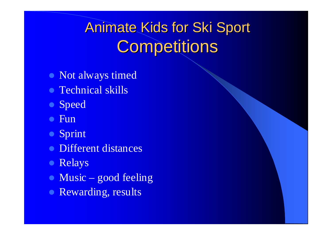# Animate Kids for Ski Sport **Competitions**

- Not always timed
- Technical skills
- Speed
- $\bullet$  Fun
- **Sprint**
- Different distances
- Relays
- $\bullet$  Music good feeling
- Rewarding, results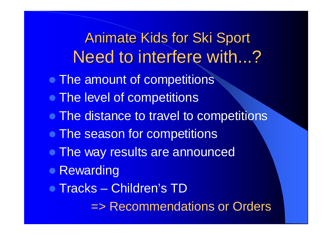### Animate Kids for Ski Sport Need to interfere with...?

- The amount of competitions
- The level of competitions
- The distance to travel to competitions
- The season for competitions
- The way results are announced
- Rewarding
- Tracks Children's TD

=> Recommendations or Orders